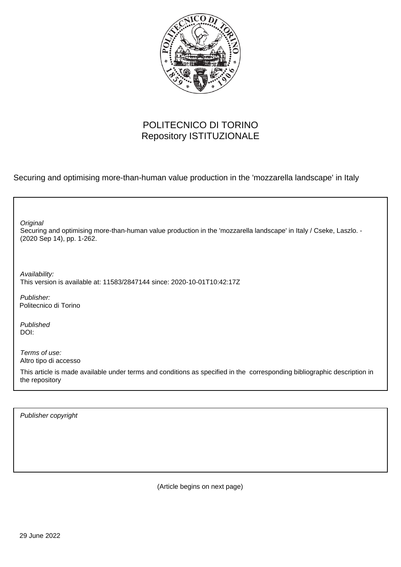

## POLITECNICO DI TORINO Repository ISTITUZIONALE

Securing and optimising more-than-human value production in the 'mozzarella landscape' in Italy

| Original<br>Securing and optimising more-than-human value production in the 'mozzarella landscape' in Italy / Cseke, Laszlo. -<br>(2020 Sep 14), pp. 1-262. |  |
|-------------------------------------------------------------------------------------------------------------------------------------------------------------|--|
| Availability:<br>This version is available at: 11583/2847144 since: 2020-10-01T10:42:17Z                                                                    |  |
| Publisher:<br>Politecnico di Torino                                                                                                                         |  |
| Published<br>DOI:                                                                                                                                           |  |
| Terms of use:<br>Altro tipo di accesso                                                                                                                      |  |
| This article is made available under terms and conditions as specified in the corresponding bibliographic description in<br>the repository                  |  |

Publisher copyright

(Article begins on next page)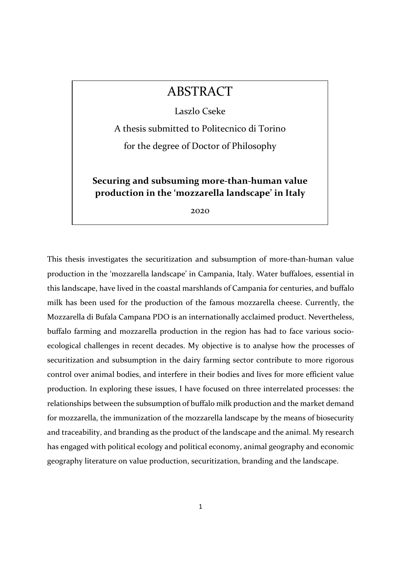## ABSTRACT

Laszlo Cseke

A thesis submitted to Politecnico di Torino

for the degree of Doctor of Philosophy

Securing and subsuming more-than-human value production in the 'mozzarella landscape' in Italy

2020

This thesis investigates the securitization and subsumption of more-than-human value production in the 'mozzarella landscape' in Campania, Italy. Water buffaloes, essential in this landscape, have lived in the coastal marshlands of Campania for centuries, and buffalo milk has been used for the production of the famous mozzarella cheese. Currently, the Mozzarella di Bufala Campana PDO is an internationally acclaimed product. Nevertheless, buffalo farming and mozzarella production in the region has had to face various socioecological challenges in recent decades. My objective is to analyse how the processes of securitization and subsumption in the dairy farming sector contribute to more rigorous control over animal bodies, and interfere in their bodies and lives for more efficient value production. In exploring these issues, I have focused on three interrelated processes: the relationships between the subsumption of buffalo milk production and the market demand for mozzarella, the immunization of the mozzarella landscape by the means of biosecurity and traceability, and branding as the product of the landscape and the animal. My research has engaged with political ecology and political economy, animal geography and economic geography literature on value production, securitization, branding and the landscape.